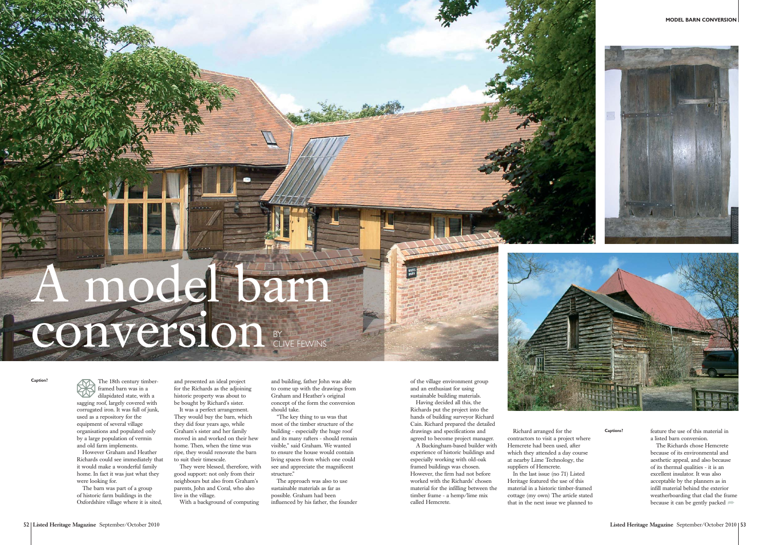**MODEL BARN CONVERSION**



**Caption?** The 18th century timberframed barn was in a dilapidated state, with a sagging roof, largely covered with corrugated iron. It was full of junk, used as a repository for the equipment of several village organisations and populated only by a large population of vermin and old farm implements. However Graham and Heather

Richards could see immediately that it would make a wonderful family home. In fact it was just what they were looking for.

The barn was part of a group of historic farm buildings in the Oxfordshire village where it is sited,

and presented an ideal project for the Richards as the adjoining historic property was about to be bought by Richard's sister.

It was a perfect arrangement. They would buy the barn, which they did four years ago, while Graham's sister and her family moved in and worked on their hew home. Then, when the time was ripe, they would renovate the barn to suit their timescale.

They were blessed, therefore, with good support: not only from their neighbours but also from Graham's parents, John and Coral, who also live in the village.

Richard arranged for the contractors to visit a project where Hemcrete had been used, after which they attended a day course at nearby Lime Technology, the suppliers of Hemcrete.

With a background of computing

and building, father John was able to come up with the drawings from Graham and Heather's original concept of the form the conversion should take.

"The key thing to us was that most of the timber structure of the building - especially the huge roof and its many rafters - should remain visible," said Graham. We wanted to ensure the house would contain living spaces from which one could see and appreciate the magnificent structure."

## A model barn **Conversion**



The approach was also to use sustainable materials as far as possible. Graham had been influenced by his father, the founder of the village environment group and an enthusiast for using sustainable building materials.

Having decided all this, the Richards put the project into the hands of building surveyor Richard Cain. Richard prepared the detailed drawings and specifications and agreed to become project manager.

A Buckingham-based builder with experience of historic buildings and especially working with old-oak framed buildings was chosen. However, the firm had not before worked with the Richards' chosen material for the infilling between the timber frame - a hemp/lime mix called Hemcrete.



In the last issue (no 71) Listed Heritage featured the use of this material in a historic timber-framed cottage (my own) The article stated that in the next issue we planned to **Captions?** feature the use of this material in a listed barn conversion.

The Richards chose Hemcretebecause of its environmental and aesthetic appeal, and also because of its thermal qualities - it is an excellent insulator. It was alsoacceptable by the planners as in infill material behind the exterior weatherboarding that clad the frame because it can be gently packed ➦